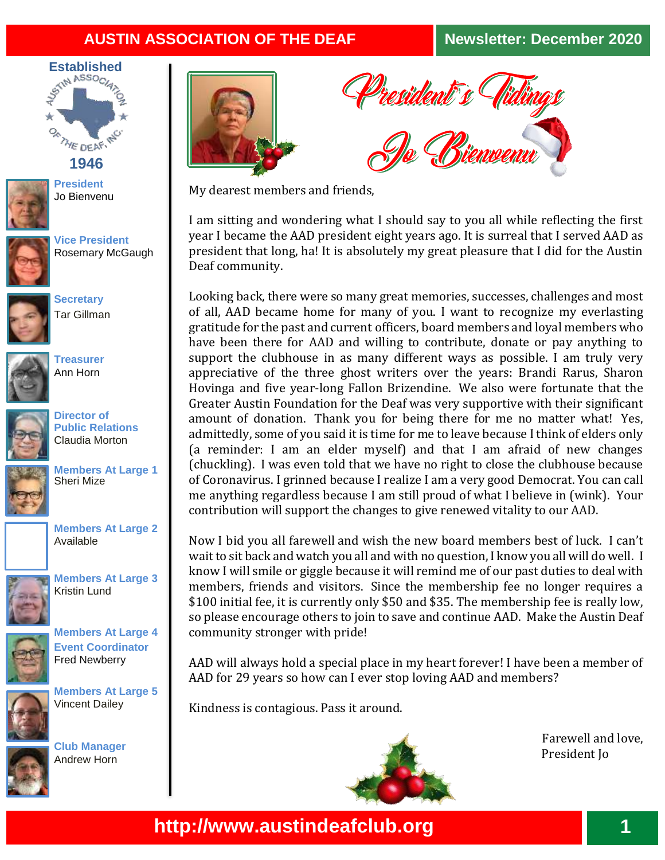## **AUSTIN ASSOCIATION OF THE DEAF Newsletter: December 2020**



**1946**

**President** Jo Bienvenu



**Vice President** Rosemary McGaugh



**Secretary** Tar Gillman



**Treasurer**  Ann Horn



**Director of Public Relations**  Claudia Morton



**Members At Large 1**  Sheri Mize



**Members At Large 3**



**Members At Large 4** 

Kristin Lund



**Event Coordinator** Fred Newberry



**Members At Large 5** Vincent Dailey

**Club Manager** Andrew Horn





My dearest members and friends,

I am sitting and wondering what I should say to you all while reflecting the first year I became the AAD president eight years ago. It is surreal that I served AAD as president that long, ha! It is absolutely my great pleasure that I did for the Austin Deaf community.

Looking back, there were so many great memories, successes, challenges and most of all, AAD became home for many of you. I want to recognize my everlasting gratitude for the past and current officers, board members and loyal members who have been there for AAD and willing to contribute, donate or pay anything to support the clubhouse in as many different ways as possible. I am truly very appreciative of the three ghost writers over the years: Brandi Rarus, Sharon Hovinga and five year-long Fallon Brizendine. We also were fortunate that the Greater Austin Foundation for the Deaf was very supportive with their significant amount of donation. Thank you for being there for me no matter what! Yes, admittedly, some of you said it is time for me to leave because I think of elders only (a reminder: I am an elder myself) and that I am afraid of new changes (chuckling). I was even told that we have no right to close the clubhouse because of Coronavirus. I grinned because I realize I am a very good Democrat. You can call me anything regardless because I am still proud of what I believe in (wink). Your contribution will support the changes to give renewed vitality to our AAD.

Now I bid you all farewell and wish the new board members best of luck. I can't wait to sit back and watch you all and with no question, I know you all will do well. I know I will smile or giggle because it will remind me of our past duties to deal with members, friends and visitors. Since the membership fee no longer requires a \$100 initial fee, it is currently only \$50 and \$35. The membership fee is really low, so please encourage others to join to save and continue AAD. Make the Austin Deaf community stronger with pride!

AAD will always hold a special place in my heart forever! I have been a member of AAD for 29 years so how can I ever stop loving AAD and members?

Kindness is contagious. Pass it around.



Farewell and love, President Jo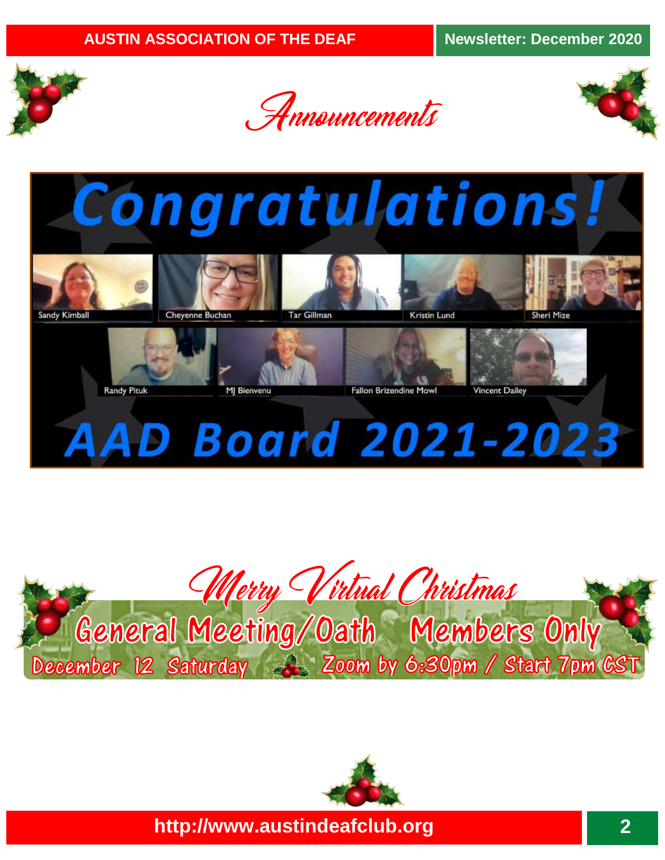

Sandy Kimball







**AAD Board 2021-2023** 

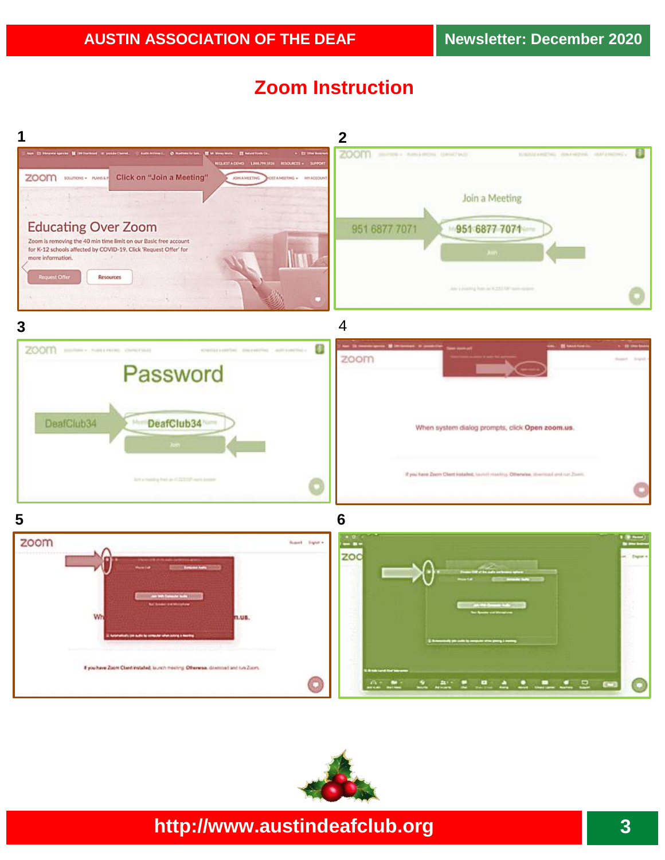# **Zoom Instruction**



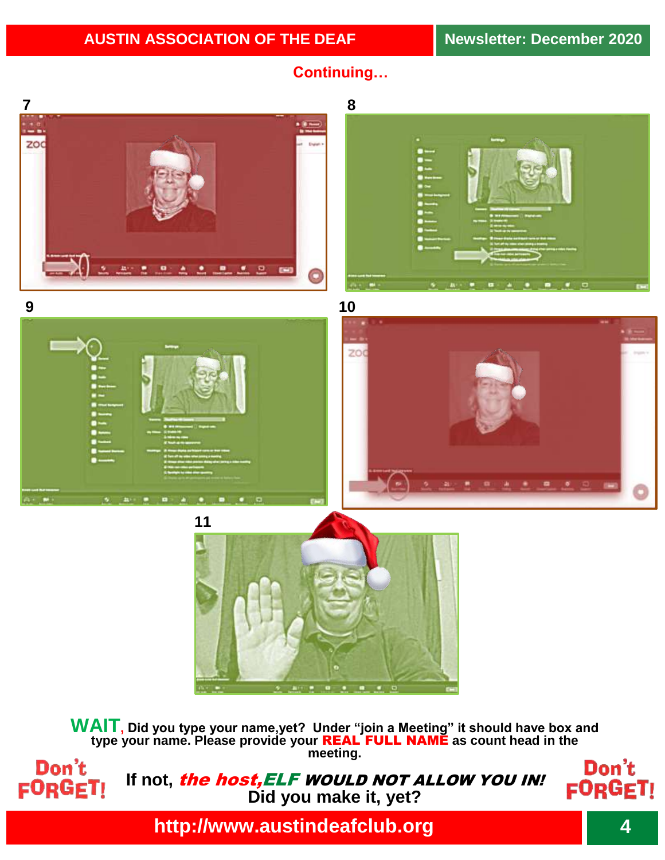



**WAIT, Did you type your name,yet? Under "join a Meeting" it should have box and type your name. Please provide your** REAL FULL NAME **as count head in the meeting.**



If not, *the host, ELF WOULD NOT ALLOW YOU IN!* **Did you make it, yet?**

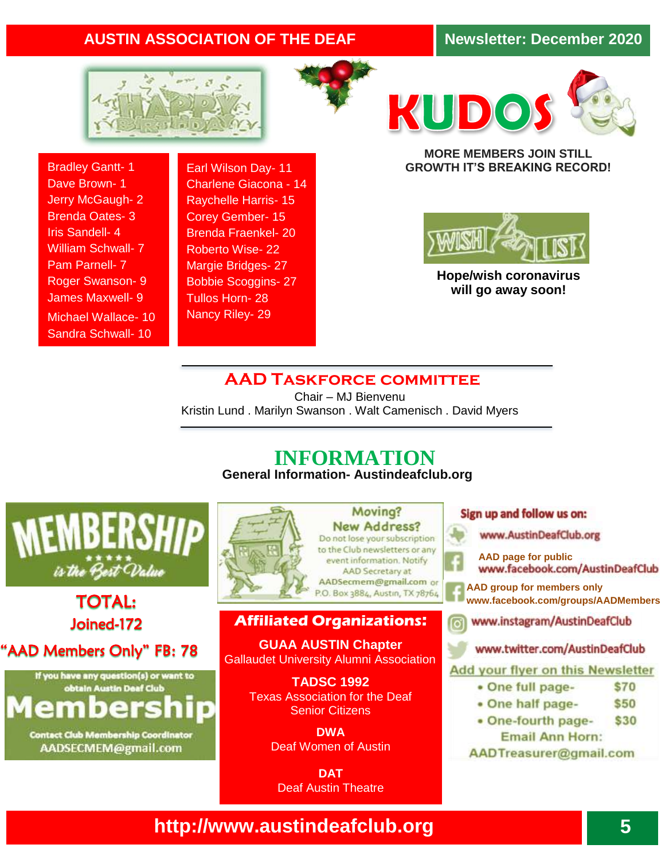### **AUSTIN ASSOCIATION OF THE DEAF Newsletter: December 2020**







Bradley Gantt- 1 Dave Brown- 1 Jerry McGaugh- 2 Brenda Oates- 3 Iris Sandell- 4 William Schwall- 7 Pam Parnell- 7 Roger Swanson- 9 James Maxwell- 9 Michael Wallace- 10 Sandra Schwall- 10

Earl Wilson Day- 11 Charlene Giacona - 14 Raychelle Harris- 15 Corey Gember- 15 Brenda Fraenkel- 20 Roberto Wise- 22 Margie Bridges- 27 Bobbie Scoggins- 27 Tullos Horn- 28 Nancy Riley- 29

#### **MORE MEMBERS JOIN STILL GROWTH IT'S BREAKING RECORD!**



**Hope/wish coronavirus will go away soon!**

#### **AAD Taskforce committee**

Chair – MJ Bienvenu Kristin Lund . Marilyn Swanson . Walt Camenisch . David Myers

### **INFORMATION General Information- Austindeafclub.org**



TOTAL: Joined-172

"AAD Members Only" FB: 78



**Contact Club Membership Coordinator** AADSECMEM@gmail.com



Moving? **New Address?** Do not lose your subscription to the Club newsletters or any event information. Notify AAD Secretary at AADSecmem@gmail.com or P.O. Box 3884, Austin, TX 78764

#### **Affiliated Organizations:**

**GUAA AUSTIN Chapter** Gallaudet University Alumni Association

> **TADSC 1992**  Texas Association for the Deaf Senior Citizens

> > **DWA** Deaf Women of Austin

**DAT**  Deaf Austin Theatre

#### Sign up and follow us on:

www.AustinDeafClub.org

- **[AAD](http://www.facebook.com/groups/AADMembers) page for public**
- **[www.facebook.com/groups/AADMembers](http://www.facebook.com/groups/AADMembers) [AAD](http://www.facebook.com/groups/AADMembers)** group for members only

www.instagram/AustinDeafClub

www.twitter.com/AustinDeafClub

#### Add your flyer on this Newsletter

- One full page-\$70
- One half page-\$50
- · One-fourth page-\$30 **Email Ann Horn:**
- AADTreasurer@gmail.com